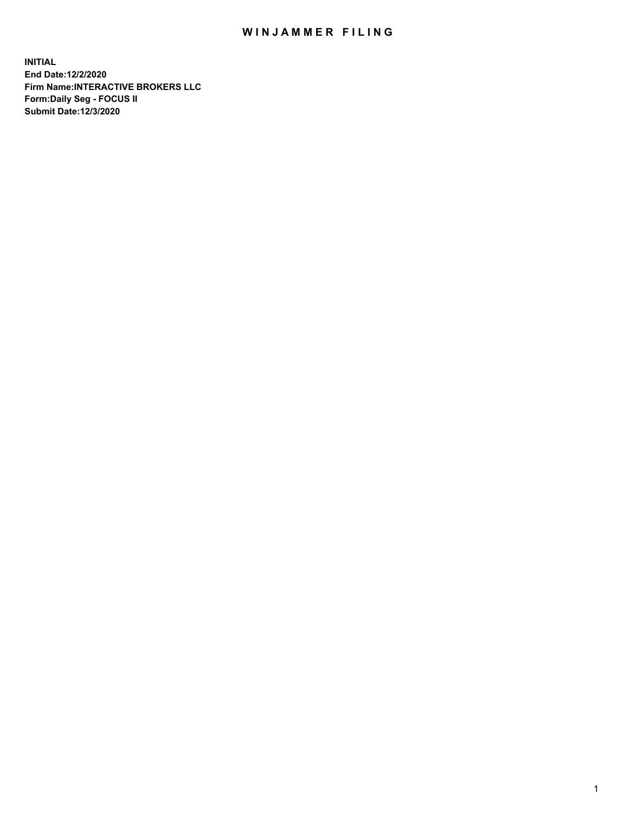## WIN JAMMER FILING

**INITIAL End Date:12/2/2020 Firm Name:INTERACTIVE BROKERS LLC Form:Daily Seg - FOCUS II Submit Date:12/3/2020**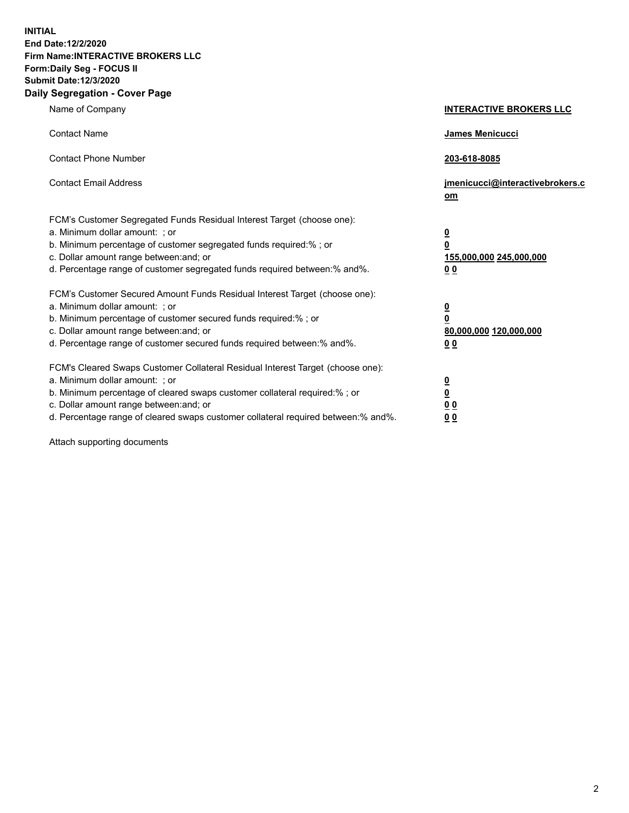**INITIAL End Date:12/2/2020 Firm Name:INTERACTIVE BROKERS LLC Form:Daily Seg - FOCUS II Submit Date:12/3/2020 Daily Segregation - Cover Page**

| Name of Company                                                                                                                                                                                                                                                                                                                | <b>INTERACTIVE BROKERS LLC</b>                                                   |  |
|--------------------------------------------------------------------------------------------------------------------------------------------------------------------------------------------------------------------------------------------------------------------------------------------------------------------------------|----------------------------------------------------------------------------------|--|
| <b>Contact Name</b>                                                                                                                                                                                                                                                                                                            | James Menicucci                                                                  |  |
| <b>Contact Phone Number</b>                                                                                                                                                                                                                                                                                                    | 203-618-8085                                                                     |  |
| <b>Contact Email Address</b>                                                                                                                                                                                                                                                                                                   | jmenicucci@interactivebrokers.c<br>om                                            |  |
| FCM's Customer Segregated Funds Residual Interest Target (choose one):<br>a. Minimum dollar amount: ; or<br>b. Minimum percentage of customer segregated funds required:% ; or<br>c. Dollar amount range between: and; or<br>d. Percentage range of customer segregated funds required between:% and%.                         | <u>0</u><br>$\overline{\mathbf{0}}$<br>155,000,000 245,000,000<br>0 <sub>0</sub> |  |
| FCM's Customer Secured Amount Funds Residual Interest Target (choose one):<br>a. Minimum dollar amount: ; or<br>b. Minimum percentage of customer secured funds required:% ; or<br>c. Dollar amount range between: and; or<br>d. Percentage range of customer secured funds required between:% and%.                           | <u>0</u><br>$\overline{\mathbf{0}}$<br>80,000,000 120,000,000<br>0 <sub>0</sub>  |  |
| FCM's Cleared Swaps Customer Collateral Residual Interest Target (choose one):<br>a. Minimum dollar amount: ; or<br>b. Minimum percentage of cleared swaps customer collateral required:% ; or<br>c. Dollar amount range between: and; or<br>d. Percentage range of cleared swaps customer collateral required between:% and%. | <u>0</u><br>$\underline{\mathbf{0}}$<br>0 <sub>0</sub><br>0 <sub>0</sub>         |  |

Attach supporting documents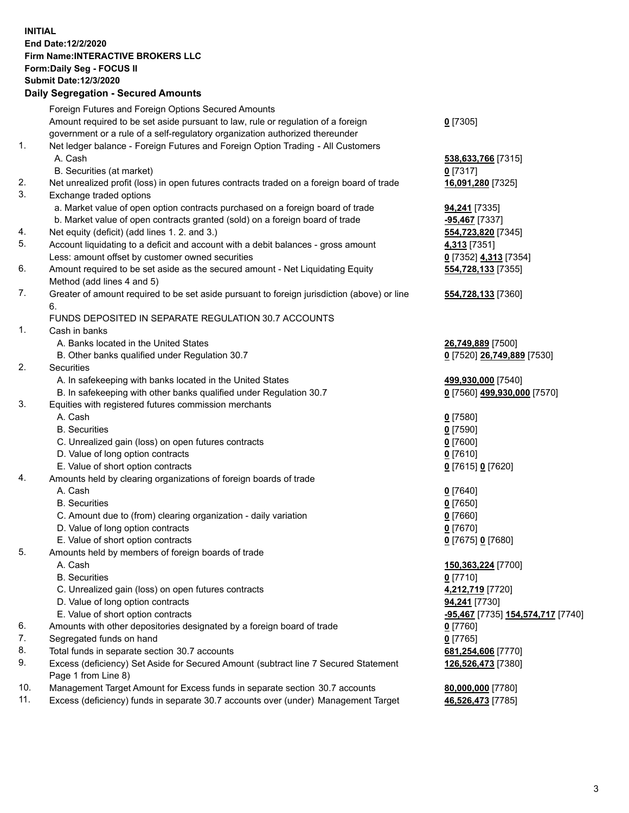**INITIAL End Date:12/2/2020 Firm Name:INTERACTIVE BROKERS LLC Form:Daily Seg - FOCUS II Submit Date:12/3/2020 Daily Segregation - Secured Amounts**

## Foreign Futures and Foreign Options Secured Amounts Amount required to be set aside pursuant to law, rule or regulation of a foreign government or a rule of a self-regulatory organization authorized thereunder **0** [7305] 1. Net ledger balance - Foreign Futures and Foreign Option Trading - All Customers A. Cash **538,633,766** [7315] B. Securities (at market) **0** [7317] 2. Net unrealized profit (loss) in open futures contracts traded on a foreign board of trade **16,091,280** [7325] 3. Exchange traded options a. Market value of open option contracts purchased on a foreign board of trade **94,241** [7335] b. Market value of open contracts granted (sold) on a foreign board of trade **-95,467** [7337] 4. Net equity (deficit) (add lines 1. 2. and 3.) **554,723,820** [7345] 5. Account liquidating to a deficit and account with a debit balances - gross amount **4,313** [7351] Less: amount offset by customer owned securities **0** [7352] **4,313** [7354] 6. Amount required to be set aside as the secured amount - Net Liquidating Equity Method (add lines 4 and 5) **554,728,133** [7355] 7. Greater of amount required to be set aside pursuant to foreign jurisdiction (above) or line 6. **554,728,133** [7360] FUNDS DEPOSITED IN SEPARATE REGULATION 30.7 ACCOUNTS 1. Cash in banks A. Banks located in the United States **26,749,889** [7500] B. Other banks qualified under Regulation 30.7 **0** [7520] **26,749,889** [7530] 2. Securities A. In safekeeping with banks located in the United States **499,930,000** [7540] B. In safekeeping with other banks qualified under Regulation 30.7 **0** [7560] **499,930,000** [7570] 3. Equities with registered futures commission merchants A. Cash **0** [7580] B. Securities **0** [7590] C. Unrealized gain (loss) on open futures contracts **0** [7600] D. Value of long option contracts **0** [7610] E. Value of short option contracts **0** [7615] **0** [7620] 4. Amounts held by clearing organizations of foreign boards of trade A. Cash **0** [7640] B. Securities **0** [7650] C. Amount due to (from) clearing organization - daily variation **0** [7660] D. Value of long option contracts **0** [7670] E. Value of short option contracts **0** [7675] **0** [7680] 5. Amounts held by members of foreign boards of trade A. Cash **150,363,224** [7700] B. Securities **0** [7710] C. Unrealized gain (loss) on open futures contracts **4,212,719** [7720] D. Value of long option contracts **94,241** [7730] E. Value of short option contracts **-95,467** [7735] **154,574,717** [7740] 6. Amounts with other depositories designated by a foreign board of trade **0** [7760] 7. Segregated funds on hand **0** [7765] 8. Total funds in separate section 30.7 accounts **681,254,606** [7770] 9. Excess (deficiency) Set Aside for Secured Amount (subtract line 7 Secured Statement Page 1 from Line 8) **126,526,473** [7380] 10. Management Target Amount for Excess funds in separate section 30.7 accounts **80,000,000** [7780] 11. Excess (deficiency) funds in separate 30.7 accounts over (under) Management Target **46,526,473** [7785]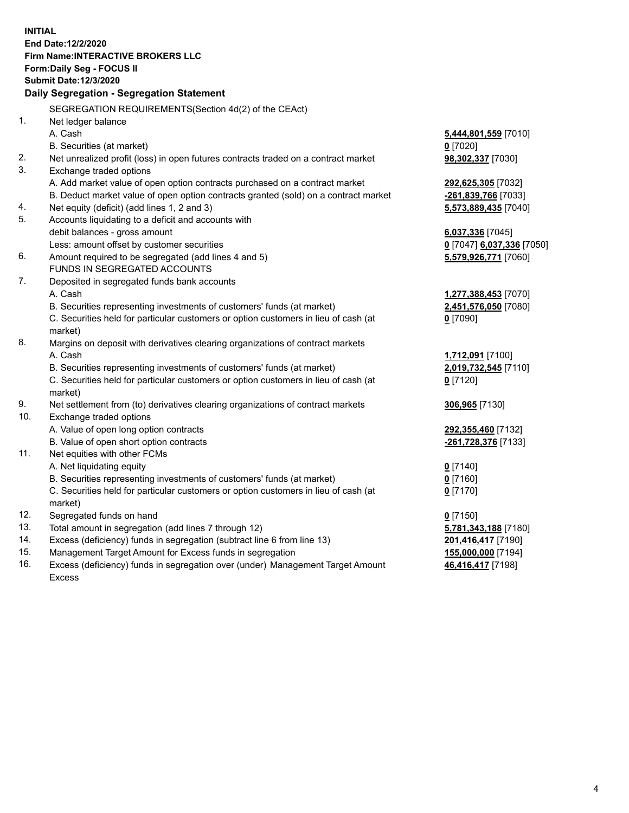**INITIAL End Date:12/2/2020 Firm Name:INTERACTIVE BROKERS LLC Form:Daily Seg - FOCUS II Submit Date:12/3/2020 Daily Segregation - Segregation Statement** SEGREGATION REQUIREMENTS(Section 4d(2) of the CEAct) 1. Net ledger balance A. Cash **5,444,801,559** [7010] B. Securities (at market) **0** [7020] 2. Net unrealized profit (loss) in open futures contracts traded on a contract market **98,302,337** [7030] 3. Exchange traded options A. Add market value of open option contracts purchased on a contract market **292,625,305** [7032] B. Deduct market value of open option contracts granted (sold) on a contract market **-261,839,766** [7033] 4. Net equity (deficit) (add lines 1, 2 and 3) **5,573,889,435** [7040] 5. Accounts liquidating to a deficit and accounts with debit balances - gross amount **6,037,336** [7045] Less: amount offset by customer securities **0** [7047] **6,037,336** [7050] 6. Amount required to be segregated (add lines 4 and 5) **5,579,926,771** [7060] FUNDS IN SEGREGATED ACCOUNTS 7. Deposited in segregated funds bank accounts A. Cash **1,277,388,453** [7070] B. Securities representing investments of customers' funds (at market) **2,451,576,050** [7080] C. Securities held for particular customers or option customers in lieu of cash (at market) **0** [7090] 8. Margins on deposit with derivatives clearing organizations of contract markets A. Cash **1,712,091** [7100] B. Securities representing investments of customers' funds (at market) **2,019,732,545** [7110] C. Securities held for particular customers or option customers in lieu of cash (at market) **0** [7120] 9. Net settlement from (to) derivatives clearing organizations of contract markets **306,965** [7130] 10. Exchange traded options A. Value of open long option contracts **292,355,460** [7132] B. Value of open short option contracts **-261,728,376** [7133] 11. Net equities with other FCMs A. Net liquidating equity **0** [7140] B. Securities representing investments of customers' funds (at market) **0** [7160] C. Securities held for particular customers or option customers in lieu of cash (at market) **0** [7170] 12. Segregated funds on hand **0** [7150] 13. Total amount in segregation (add lines 7 through 12) **5,781,343,188** [7180] 14. Excess (deficiency) funds in segregation (subtract line 6 from line 13) **201,416,417** [7190] 15. Management Target Amount for Excess funds in segregation **155,000,000** [7194] 16. Excess (deficiency) funds in segregation over (under) Management Target Amount **46,416,417** [7198]

Excess